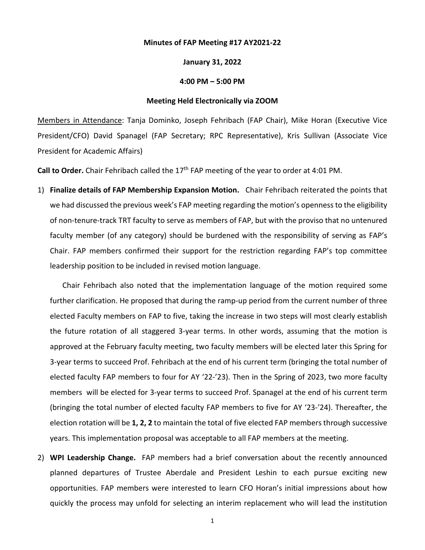## **Minutes of FAP Meeting #17 AY2021-22**

## **January 31, 2022**

## **4:00 PM – 5:00 PM**

## **Meeting Held Electronically via ZOOM**

Members in Attendance: Tanja Dominko, Joseph Fehribach (FAP Chair), Mike Horan (Executive Vice President/CFO) David Spanagel (FAP Secretary; RPC Representative), Kris Sullivan (Associate Vice President for Academic Affairs)

Call to Order. Chair Fehribach called the 17<sup>th</sup> FAP meeting of the year to order at 4:01 PM.

1) **Finalize details of FAP Membership Expansion Motion.** Chair Fehribach reiterated the points that we had discussed the previous week's FAP meeting regarding the motion's openness to the eligibility of non-tenure-track TRT faculty to serve as members of FAP, but with the proviso that no untenured faculty member (of any category) should be burdened with the responsibility of serving as FAP's Chair. FAP members confirmed their support for the restriction regarding FAP's top committee leadership position to be included in revised motion language.

Chair Fehribach also noted that the implementation language of the motion required some further clarification. He proposed that during the ramp-up period from the current number of three elected Faculty members on FAP to five, taking the increase in two steps will most clearly establish the future rotation of all staggered 3-year terms. In other words, assuming that the motion is approved at the February faculty meeting, two faculty members will be elected later this Spring for 3-year terms to succeed Prof. Fehribach at the end of his current term (bringing the total number of elected faculty FAP members to four for AY '22-'23). Then in the Spring of 2023, two more faculty members will be elected for 3-year terms to succeed Prof. Spanagel at the end of his current term (bringing the total number of elected faculty FAP members to five for AY '23-'24). Thereafter, the election rotation will be **1, 2, 2** to maintain the total of five elected FAP members through successive years. This implementation proposal was acceptable to all FAP members at the meeting.

2) **WPI Leadership Change.** FAP members had a brief conversation about the recently announced planned departures of Trustee Aberdale and President Leshin to each pursue exciting new opportunities. FAP members were interested to learn CFO Horan's initial impressions about how quickly the process may unfold for selecting an interim replacement who will lead the institution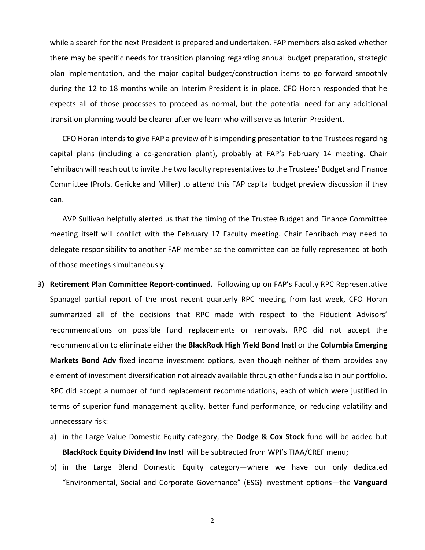while a search for the next President is prepared and undertaken. FAP members also asked whether there may be specific needs for transition planning regarding annual budget preparation, strategic plan implementation, and the major capital budget/construction items to go forward smoothly during the 12 to 18 months while an Interim President is in place. CFO Horan responded that he expects all of those processes to proceed as normal, but the potential need for any additional transition planning would be clearer after we learn who will serve as Interim President.

CFO Horan intendsto give FAP a preview of his impending presentation to the Trustees regarding capital plans (including a co-generation plant), probably at FAP's February 14 meeting. Chair Fehribach will reach out to invite the two faculty representatives to the Trustees' Budget and Finance Committee (Profs. Gericke and Miller) to attend this FAP capital budget preview discussion if they can.

AVP Sullivan helpfully alerted us that the timing of the Trustee Budget and Finance Committee meeting itself will conflict with the February 17 Faculty meeting. Chair Fehribach may need to delegate responsibility to another FAP member so the committee can be fully represented at both of those meetings simultaneously.

- 3) **Retirement Plan Committee Report-continued.** Following up on FAP's Faculty RPC Representative Spanagel partial report of the most recent quarterly RPC meeting from last week, CFO Horan summarized all of the decisions that RPC made with respect to the Fiducient Advisors' recommendations on possible fund replacements or removals. RPC did not accept the recommendation to eliminate either the **BlackRock High Yield Bond Instl** or the **Columbia Emerging Markets Bond Adv** fixed income investment options, even though neither of them provides any element of investment diversification not already available through other funds also in our portfolio. RPC did accept a number of fund replacement recommendations, each of which were justified in terms of superior fund management quality, better fund performance, or reducing volatility and unnecessary risk:
	- a) in the Large Value Domestic Equity category, the **Dodge & Cox Stock** fund will be added but **BlackRock Equity Dividend Inv Instl** will be subtracted from WPI's TIAA/CREF menu;
	- b) in the Large Blend Domestic Equity category—where we have our only dedicated "Environmental, Social and Corporate Governance" (ESG) investment options—the **Vanguard**

2